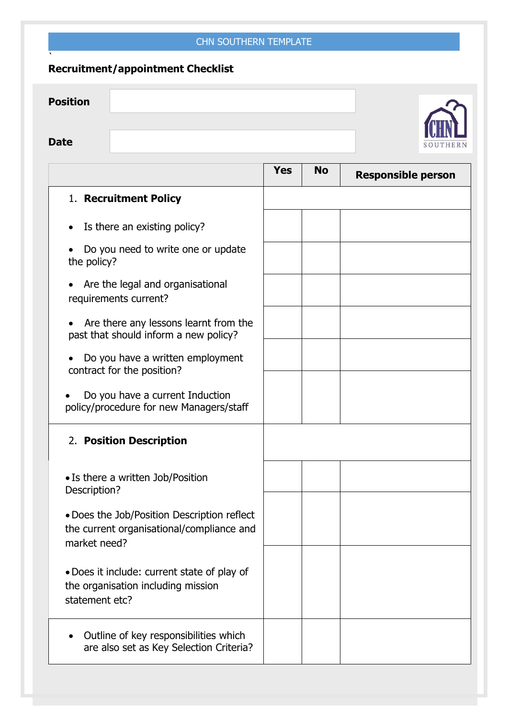## CHN SOUTHERN TEMPLATE

## **Recruitment/appointment Checklist**

`

| <b>Position</b> |          |
|-----------------|----------|
|                 |          |
| <b>Date</b>     | SOUTHERN |

|                                                                                                          | <b>Yes</b> | <b>No</b> | <b>Responsible person</b> |
|----------------------------------------------------------------------------------------------------------|------------|-----------|---------------------------|
| 1. Recruitment Policy                                                                                    |            |           |                           |
| Is there an existing policy?                                                                             |            |           |                           |
| Do you need to write one or update<br>the policy?                                                        |            |           |                           |
| Are the legal and organisational<br>requirements current?                                                |            |           |                           |
| Are there any lessons learnt from the<br>past that should inform a new policy?                           |            |           |                           |
| Do you have a written employment<br>contract for the position?                                           |            |           |                           |
| Do you have a current Induction<br>policy/procedure for new Managers/staff                               |            |           |                           |
| 2. Position Description                                                                                  |            |           |                           |
| • Is there a written Job/Position<br>Description?                                                        |            |           |                           |
| • Does the Job/Position Description reflect<br>the current organisational/compliance and<br>market need? |            |           |                           |
| • Does it include: current state of play of<br>the organisation including mission<br>statement etc?      |            |           |                           |
| Outline of key responsibilities which<br>are also set as Key Selection Criteria?                         |            |           |                           |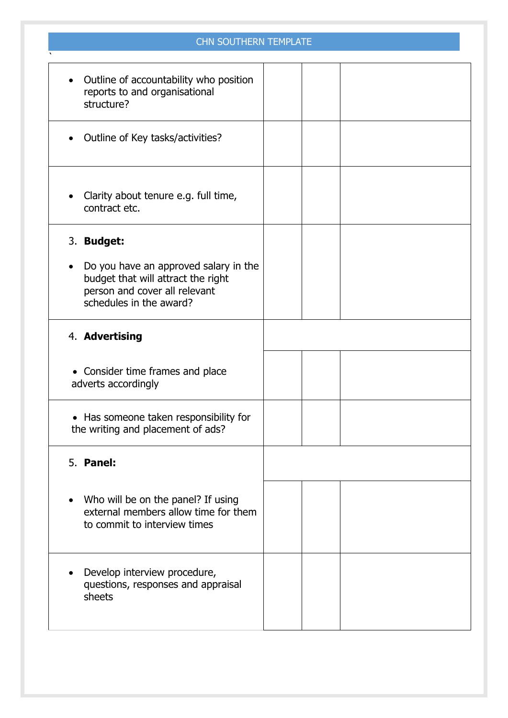## CHN SOUTHERN TEMPLATE

| Do you have an approved salary in the |
|---------------------------------------|
|                                       |
|                                       |
|                                       |
|                                       |
|                                       |
|                                       |
|                                       |